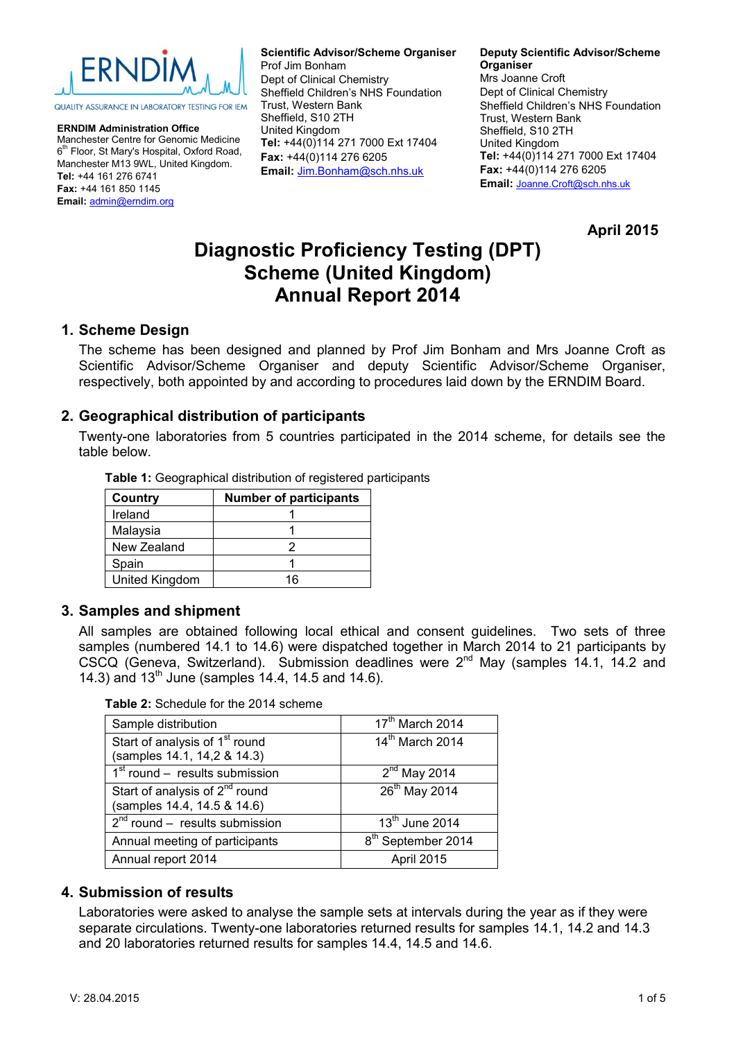

**ERNDIM Administration Office** Manchester Centre for Genomic Medicine 6<sup>th</sup> Floor, St Mary's Hospital, Oxford Road, Manchester M13 9WL, United Kingdom. **Tel:** +44 161 276 6741 **Fax:** +44 161 850 1145 **Email:** [admin@erndim.org](mailto:admin@erndim.org)

**Scientific Advisor/Scheme Organiser** Prof Jim Bonham Dept of Clinical Chemistry Sheffield Children's NHS Foundation Trust, Western Bank Sheffield, S10 2TH

United Kingdom **Tel:** +44(0)114 271 7000 Ext 17404 **Fax:** +44(0)114 276 6205 **Email:** [Jim.Bonham@sch.nhs.uk](mailto:Jim.Bonham@sch.nhs.uk)

#### **Deputy Scientific Advisor/Scheme Organiser**

Mrs Joanne Croft Dept of Clinical Chemistry Sheffield Children's NHS Foundation Trust, Western Bank Sheffield, S10 2TH United Kingdom **Tel:** +44(0)114 271 7000 Ext 17404 **Fax:** +44(0)114 276 6205 **Email:** [Joanne.Croft@sch.nhs.uk](mailto:Joanne.Croft@sch.nhs.uk)

**April 2015**

# **Diagnostic Proficiency Testing (DPT) Scheme (United Kingdom) Annual Report 2014**

## **1. Scheme Design**

The scheme has been designed and planned by Prof Jim Bonham and Mrs Joanne Croft as Scientific Advisor/Scheme Organiser and deputy Scientific Advisor/Scheme Organiser, respectively, both appointed by and according to procedures laid down by the ERNDIM Board.

## **2. Geographical distribution of participants**

Twenty-one laboratories from 5 countries participated in the 2014 scheme, for details see the table below.

| <b>Table 1.</b> Occupablical distribution of registered pa |                               |  |  |  |
|------------------------------------------------------------|-------------------------------|--|--|--|
| Country                                                    | <b>Number of participants</b> |  |  |  |
| Ireland                                                    |                               |  |  |  |
| Malaysia                                                   |                               |  |  |  |
| New Zealand                                                |                               |  |  |  |
| Spain                                                      |                               |  |  |  |
| United Kingdom                                             | 16                            |  |  |  |

**Table 1:** Geographical distribution of registered participants

## **3. Samples and shipment**

All samples are obtained following local ethical and consent guidelines. Two sets of three samples (numbered 14.1 to 14.6) were dispatched together in March 2014 to 21 participants by CSCQ (Geneva, Switzerland). Submission deadlines were 2<sup>nd</sup> May (samples 14.1, 14.2 and 14.3) and  $13^{th}$  June (samples 14.4, 14.5 and 14.6).

**Table 2:** Schedule for the 2014 scheme

| Sample distribution                                                       | $17th$ March 2014              |
|---------------------------------------------------------------------------|--------------------------------|
| Start of analysis of 1 <sup>st</sup> round<br>(samples 14.1, 14,2 & 14.3) | 14 <sup>th</sup> March 2014    |
| $1st$ round – results submission                                          | $2nd$ May 2014                 |
| Start of analysis of 2 <sup>nd</sup> round<br>(samples 14.4, 14.5 & 14.6) | 26 <sup>th</sup> May 2014      |
| $2^{nd}$ round – results submission                                       | $13th$ June 2014               |
| Annual meeting of participants                                            | 8 <sup>th</sup> September 2014 |
| Annual report 2014                                                        | April 2015                     |

## **4. Submission of results**

Laboratories were asked to analyse the sample sets at intervals during the year as if they were separate circulations. Twenty-one laboratories returned results for samples 14.1, 14.2 and 14.3 and 20 laboratories returned results for samples 14.4, 14.5 and 14.6.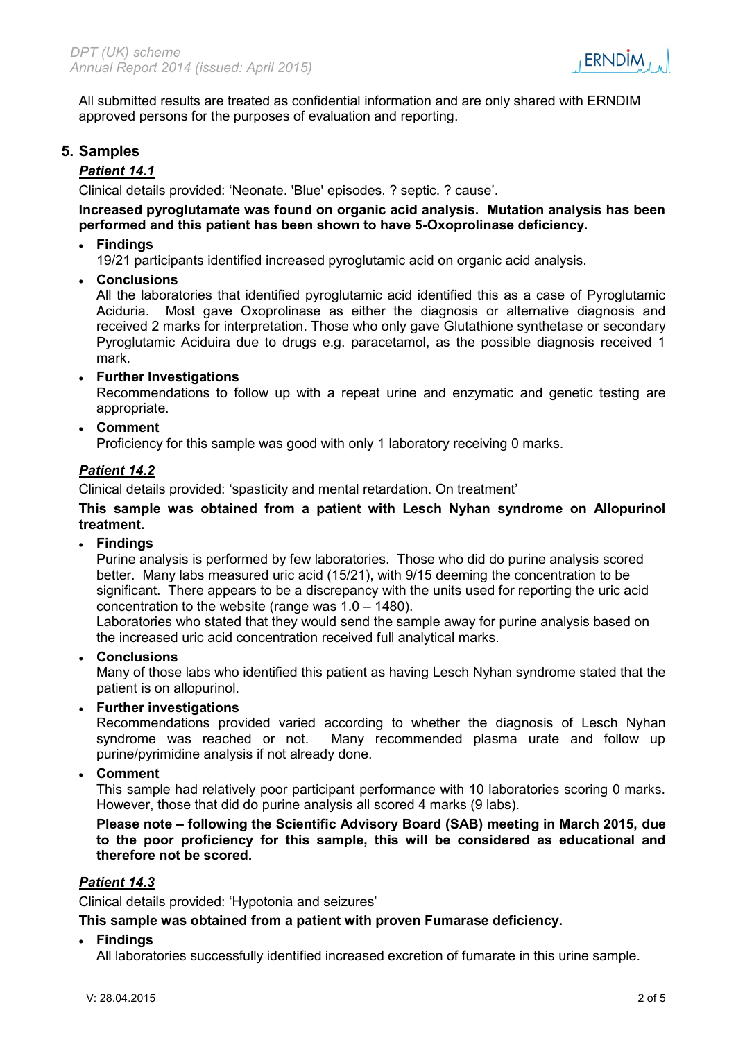

All submitted results are treated as confidential information and are only shared with ERNDIM approved persons for the purposes of evaluation and reporting.

## **5. Samples**

#### *Patient 14.1*

Clinical details provided: 'Neonate. 'Blue' episodes. ? septic. ? cause'.

## **Increased pyroglutamate was found on organic acid analysis. Mutation analysis has been performed and this patient has been shown to have 5-Oxoprolinase deficiency.**

**Findings**

19/21 participants identified increased pyroglutamic acid on organic acid analysis.

**Conclusions**

All the laboratories that identified pyroglutamic acid identified this as a case of Pyroglutamic Aciduria. Most gave Oxoprolinase as either the diagnosis or alternative diagnosis and received 2 marks for interpretation. Those who only gave Glutathione synthetase or secondary Pyroglutamic Aciduira due to drugs e.g. paracetamol, as the possible diagnosis received 1 mark.

**Further Investigations**

Recommendations to follow up with a repeat urine and enzymatic and genetic testing are appropriate.

**Comment**

Proficiency for this sample was good with only 1 laboratory receiving 0 marks.

## *Patient 14.2*

Clinical details provided: 'spasticity and mental retardation. On treatment'

#### **This sample was obtained from a patient with Lesch Nyhan syndrome on Allopurinol treatment.**

**Findings**

Purine analysis is performed by few laboratories. Those who did do purine analysis scored better. Many labs measured uric acid (15/21), with 9/15 deeming the concentration to be significant. There appears to be a discrepancy with the units used for reporting the uric acid concentration to the website (range was 1.0 – 1480).

Laboratories who stated that they would send the sample away for purine analysis based on the increased uric acid concentration received full analytical marks.

**Conclusions**

Many of those labs who identified this patient as having Lesch Nyhan syndrome stated that the patient is on allopurinol.

**Further investigations**

Recommendations provided varied according to whether the diagnosis of Lesch Nyhan syndrome was reached or not. Many recommended plasma urate and follow up purine/pyrimidine analysis if not already done.

**Comment**

This sample had relatively poor participant performance with 10 laboratories scoring 0 marks. However, those that did do purine analysis all scored 4 marks (9 labs).

**Please note – following the Scientific Advisory Board (SAB) meeting in March 2015, due to the poor proficiency for this sample, this will be considered as educational and therefore not be scored.** 

#### *Patient 14.3*

Clinical details provided: 'Hypotonia and seizures'

**This sample was obtained from a patient with proven Fumarase deficiency.**

**Findings**

All laboratories successfully identified increased excretion of fumarate in this urine sample.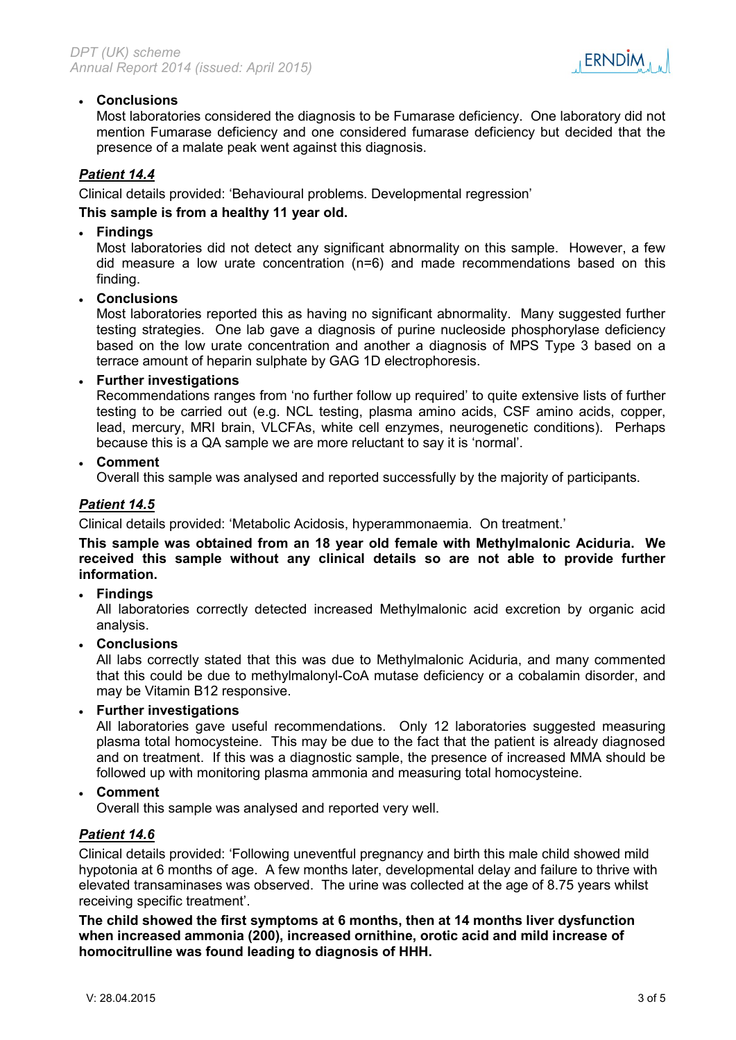

### **Conclusions**

Most laboratories considered the diagnosis to be Fumarase deficiency. One laboratory did not mention Fumarase deficiency and one considered fumarase deficiency but decided that the presence of a malate peak went against this diagnosis.

## *Patient 14.4*

Clinical details provided: 'Behavioural problems. Developmental regression'

#### **This sample is from a healthy 11 year old.**

#### **Findings**

Most laboratories did not detect any significant abnormality on this sample. However, a few did measure a low urate concentration (n=6) and made recommendations based on this finding.

#### **Conclusions**

Most laboratories reported this as having no significant abnormality. Many suggested further testing strategies. One lab gave a diagnosis of purine nucleoside phosphorylase deficiency based on the low urate concentration and another a diagnosis of MPS Type 3 based on a terrace amount of heparin sulphate by GAG 1D electrophoresis.

#### **Further investigations**

Recommendations ranges from 'no further follow up required' to quite extensive lists of further testing to be carried out (e.g. NCL testing, plasma amino acids, CSF amino acids, copper, lead, mercury, MRI brain, VLCFAs, white cell enzymes, neurogenetic conditions). Perhaps because this is a QA sample we are more reluctant to say it is 'normal'.

**Comment**

Overall this sample was analysed and reported successfully by the majority of participants.

## *Patient 14.5*

Clinical details provided: 'Metabolic Acidosis, hyperammonaemia. On treatment.'

**This sample was obtained from an 18 year old female with Methylmalonic Aciduria. We received this sample without any clinical details so are not able to provide further information.**

#### **Findings**

All laboratories correctly detected increased Methylmalonic acid excretion by organic acid analysis.

#### **Conclusions**

All labs correctly stated that this was due to Methylmalonic Aciduria, and many commented that this could be due to methylmalonyl-CoA mutase deficiency or a cobalamin disorder, and may be Vitamin B12 responsive.

### **Further investigations**

All laboratories gave useful recommendations. Only 12 laboratories suggested measuring plasma total homocysteine. This may be due to the fact that the patient is already diagnosed and on treatment. If this was a diagnostic sample, the presence of increased MMA should be followed up with monitoring plasma ammonia and measuring total homocysteine.

#### **Comment**

Overall this sample was analysed and reported very well.

#### *Patient 14.6*

Clinical details provided: 'Following uneventful pregnancy and birth this male child showed mild hypotonia at 6 months of age. A few months later, developmental delay and failure to thrive with elevated transaminases was observed. The urine was collected at the age of 8.75 years whilst receiving specific treatment'.

**The child showed the first symptoms at 6 months, then at 14 months liver dysfunction when increased ammonia (200), increased ornithine, orotic acid and mild increase of homocitrulline was found leading to diagnosis of HHH.**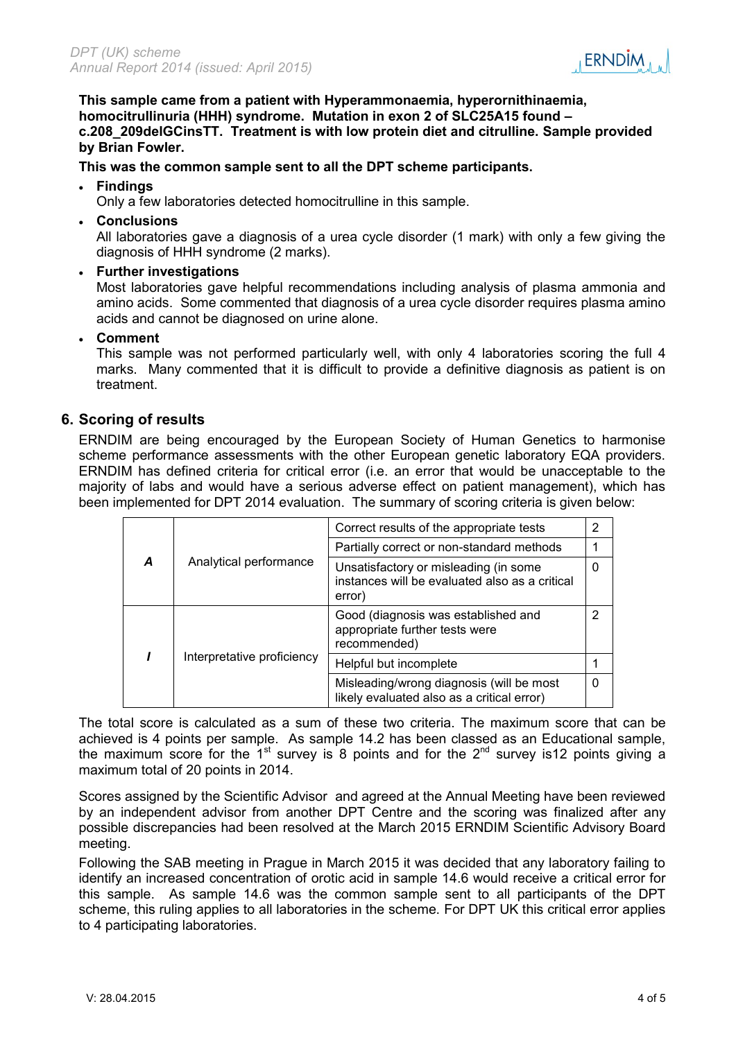

**This sample came from a patient with Hyperammonaemia, hyperornithinaemia, homocitrullinuria (HHH) syndrome. Mutation in exon 2 of SLC25A15 found – c.208\_209delGCinsTT. Treatment is with low protein diet and citrulline. Sample provided by Brian Fowler.** 

#### **This was the common sample sent to all the DPT scheme participants.**

#### **Findings**

Only a few laboratories detected homocitrulline in this sample.

**Conclusions**

All laboratories gave a diagnosis of a urea cycle disorder (1 mark) with only a few giving the diagnosis of HHH syndrome (2 marks).

**Further investigations**

Most laboratories gave helpful recommendations including analysis of plasma ammonia and amino acids. Some commented that diagnosis of a urea cycle disorder requires plasma amino acids and cannot be diagnosed on urine alone.

**Comment**

This sample was not performed particularly well, with only 4 laboratories scoring the full 4 marks. Many commented that it is difficult to provide a definitive diagnosis as patient is on treatment.

## **6. Scoring of results**

ERNDIM are being encouraged by the European Society of Human Genetics to harmonise scheme performance assessments with the other European genetic laboratory EQA providers. ERNDIM has defined criteria for critical error (i.e. an error that would be unacceptable to the majority of labs and would have a serious adverse effect on patient management), which has been implemented for DPT 2014 evaluation. The summary of scoring criteria is given below:

| A |                            | Correct results of the appropriate tests                                                          |   |  |
|---|----------------------------|---------------------------------------------------------------------------------------------------|---|--|
|   | Analytical performance     | Partially correct or non-standard methods                                                         |   |  |
|   |                            | Unsatisfactory or misleading (in some<br>instances will be evaluated also as a critical<br>error) | 0 |  |
|   |                            | Good (diagnosis was established and<br>appropriate further tests were<br>recommended)             | 2 |  |
|   | Interpretative proficiency | Helpful but incomplete                                                                            |   |  |
|   |                            | Misleading/wrong diagnosis (will be most<br>likely evaluated also as a critical error)            | 0 |  |

The total score is calculated as a sum of these two criteria. The maximum score that can be achieved is 4 points per sample. As sample 14.2 has been classed as an Educational sample, the maximum score for the 1<sup>st</sup> survey is 8 points and for the 2<sup>nd</sup> survey is12 points giving a maximum total of 20 points in 2014.

Scores assigned by the Scientific Advisor and agreed at the Annual Meeting have been reviewed by an independent advisor from another DPT Centre and the scoring was finalized after any possible discrepancies had been resolved at the March 2015 ERNDIM Scientific Advisory Board meeting.

Following the SAB meeting in Prague in March 2015 it was decided that any laboratory failing to identify an increased concentration of orotic acid in sample 14.6 would receive a critical error for this sample. As sample 14.6 was the common sample sent to all participants of the DPT scheme, this ruling applies to all laboratories in the scheme. For DPT UK this critical error applies to 4 participating laboratories.